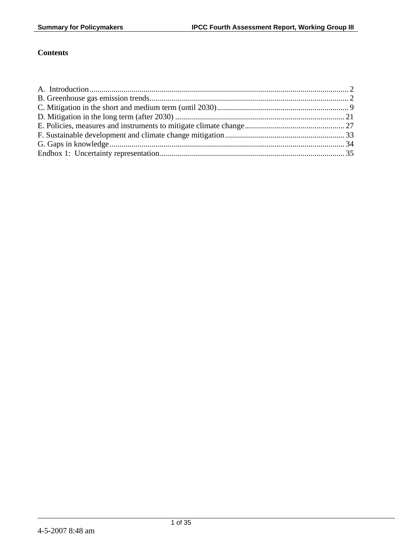# **Contents**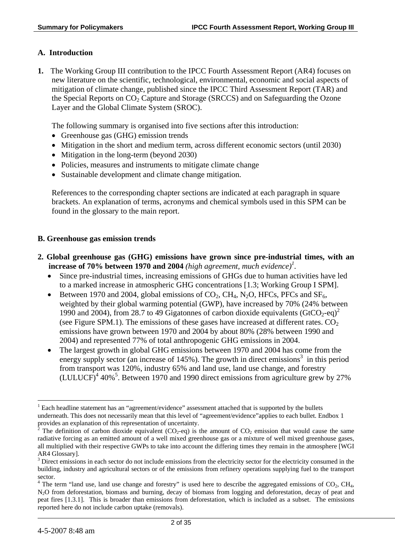# **A. Introduction**

**1.** The Working Group III contribution to the IPCC Fourth Assessment Report (AR4) focuses on new literature on the scientific, technological, environmental, economic and social aspects of mitigation of climate change, published since the IPCC Third Assessment Report (TAR) and the Special Reports on  $CO<sub>2</sub>$  Capture and Storage (SRCCS) and on Safeguarding the Ozone Layer and the Global Climate System (SROC).

The following summary is organised into five sections after this introduction:

- Greenhouse gas (GHG) emission trends
- Mitigation in the short and medium term, across different economic sectors (until 2030)
- Mitigation in the long-term (beyond 2030)
- Policies, measures and instruments to mitigate climate change
- Sustainable development and climate change mitigation.

References to the corresponding chapter sections are indicated at each paragraph in square brackets. An explanation of terms, acronyms and chemical symbols used in this SPM can be found in the glossary to the main report.

#### **B. Greenhouse gas emission trends**

- **2. Global greenhouse gas (GHG) emissions have grown since pre-industrial times, with an increase of 70% between 1970 and 2004** (high agreement, much evidence)<sup>1</sup>.
	- Since pre-industrial times, increasing emissions of GHGs due to human activities have led to a marked increase in atmospheric GHG concentrations [1.3; Working Group I SPM].
	- Between 1970 and 2004, global emissions of  $CO<sub>2</sub>$ , CH<sub>4</sub>, N<sub>2</sub>O, HFCs, PFCs and SF<sub>6</sub>, weighted by their global warming potential (GWP), have increased by 70% (24% between 1990 and 2004), from 28.7 to 49 Gigatonnes of carbon dioxide equivalents  $(GtCO<sub>2</sub>-eq)<sup>2</sup>$ (see Figure SPM.1). The emissions of these gases have increased at different rates.  $CO<sub>2</sub>$ emissions have grown between 1970 and 2004 by about 80% (28% between 1990 and 2004) and represented 77% of total anthropogenic GHG emissions in 2004.
	- The largest growth in global GHG emissions between 1970 and 2004 has come from the energy supply sector (an increase of  $145\%$ ). The growth in direct emissions<sup>3</sup> in this period from transport was 120%, industry 65% and land use, land use change, and forestry  $(LULUCF)^4$  40%<sup>5</sup>. Between 1970 and 1990 direct emissions from agriculture grew by 27%

 $\overline{a}$  $1$  Each headline statement has an "agreement/evidence" assessment attached that is supported by the bullets underneath. This does not necessarily mean that this level of "agreement/evidence"applies to each bullet. Endbox 1 provides an explanation of this representation of uncertainty. 2

The definition of carbon dioxide equivalent  $(CO_2$ -eq) is the amount of  $CO_2$  emission that would cause the same radiative forcing as an emitted amount of a well mixed greenhouse gas or a mixture of well mixed greenhouse gases, all multiplied with their respective GWPs to take into account the differing times they remain in the atmosphere [WGI AR4 Glossary].

<sup>&</sup>lt;sup>3</sup> Direct emissions in each sector do not include emissions from the electricity sector for the electricity consumed in the building, industry and agricultural sectors or of the emissions from refinery operations supplying fuel to the transport sector.

 $4$  The term "land use, land use change and forestry" is used here to describe the aggregated emissions of CO<sub>2</sub>, CH<sub>4</sub>, N2O from deforestation, biomass and burning, decay of biomass from logging and deforestation, decay of peat and peat fires [1.3.1]. This is broader than emissions from deforestation, which is included as a subset. The emissions reported here do not include carbon uptake (removals).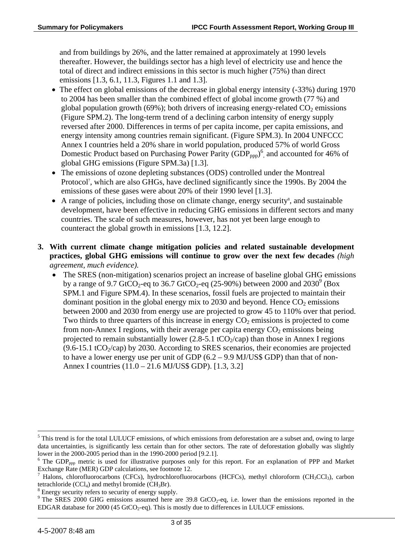and from buildings by 26%, and the latter remained at approximately at 1990 levels thereafter. However, the buildings sector has a high level of electricity use and hence the total of direct and indirect emissions in this sector is much higher (75%) than direct emissions [1.3, 6.1, 11.3, Figures 1.1 and 1.3].

- The effect on global emissions of the decrease in global energy intensity (-33%) during 1970 to 2004 has been smaller than the combined effect of global income growth (77 %) and global population growth (69%); both drivers of increasing energy-related  $CO<sub>2</sub>$  emissions (Figure SPM.2). The long-term trend of a declining carbon intensity of energy supply reversed after 2000. Differences in terms of per capita income, per capita emissions, and energy intensity among countries remain significant. (Figure SPM.3). In 2004 UNFCCC Annex I countries held a 20% share in world population, produced 57% of world Gross Domestic Product based on Purchasing Power Parity  $(GDP_{ppp})^6$ , and accounted for 46% of global GHG emissions (Figure SPM.3a) [1.3].
- The emissions of ozone depleting substances (ODS) controlled under the Montreal Protocol<sup>7</sup>, which are also GHGs, have declined significantly since the 1990s. By 2004 the emissions of these gases were about 20% of their 1990 level [1.3].
- A range of policies, including those on climate change, energy security<sup>8</sup>, and sustainable development, have been effective in reducing GHG emissions in different sectors and many countries. The scale of such measures, however, has not yet been large enough to counteract the global growth in emissions [1.3, 12.2].
- **3. With current climate change mitigation policies and related sustainable development practices, global GHG emissions will continue to grow over the next few decades** *(high agreement, much evidence).* 
	- The SRES (non-mitigation) scenarios project an increase of baseline global GHG emissions by a range of 9.7 GtCO<sub>2</sub>-eq to 36.7 GtCO<sub>2</sub>-eq (25-90%) between 2000 and 2030<sup>9</sup> (Box SPM.1 and Figure SPM.4). In these scenarios, fossil fuels are projected to maintain their dominant position in the global energy mix to 2030 and beyond. Hence  $CO<sub>2</sub>$  emissions between 2000 and 2030 from energy use are projected to grow 45 to 110% over that period. Two thirds to three quarters of this increase in energy  $CO<sub>2</sub>$  emissions is projected to come from non-Annex I regions, with their average per capita energy  $CO<sub>2</sub>$  emissions being projected to remain substantially lower  $(2.8-5.1 \text{ tCO}_2/\text{cap})$  than those in Annex I regions  $(9.6-15.1 \text{ tCO}_2/\text{cap})$  by 2030. According to SRES scenarios, their economies are projected to have a lower energy use per unit of GDP  $(6.2 - 9.9 \text{ MJ/US}\$  GDP) than that of non-Annex I countries (11.0 – 21.6 MJ/US\$ GDP). [1.3, 3.2]

 <sup>5</sup>  $<sup>5</sup>$  This trend is for the total LULUCF emissions, of which emissions from deforestation are a subset and, owing to large</sup> data uncertainties, is significantly less certain than for other sectors. The rate of deforestation globally was slightly lower in the  $2000-2005$  period than in the 1990-2000 period [9.2.1].

 $6$  The GDP<sub>ppp</sub> metric is used for illustrative purposes only for this report. For an explanation of PPP and Market Exchange Rate (MER) GDP calculations, see footnote 12.

Halons, chlorofluorocarbons (CFCs), hydrochlorofluorocarbons (HCFCs), methyl chloroform (CH<sub>3</sub>CCl<sub>3</sub>), carbon tetrachloride  $(CCL)$  and methyl bromide  $(CH_3Br)$ .

<sup>&</sup>lt;sup>8</sup> Energy security refers to security of energy supply.

 $9$  The SRES 2000 GHG emissions assumed here are 39.8 GtCO<sub>2</sub>-eq, i.e. lower than the emissions reported in the EDGAR database for 2000 (45 GtCO<sub>2</sub>-eq). This is mostly due to differences in LULUCF emissions.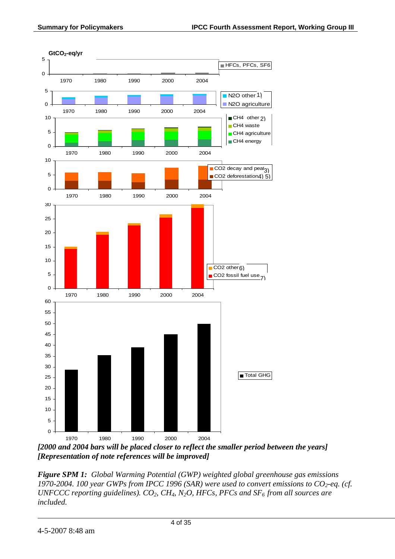

*[2000 and 2004 bars will be placed closer to reflect the smaller period between the years] [Representation of note references will be improved]* 

*Figure SPM 1: Global Warming Potential (GWP) weighted global greenhouse gas emissions*  1970-2004. 100 year GWPs from IPCC 1996 (SAR) were used to convert emissions to  $CO<sub>2</sub>$ -eq. (cf. *UNFCCC reporting guidelines).*  $CO_2$ ,  $CH_4$ ,  $N_2O$ , HFCs, PFCs and SF<sub>6</sub> from all sources are *included.*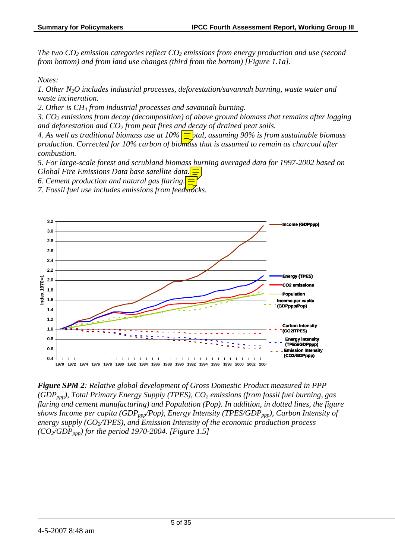*The two CO2 emission categories reflect CO2 emissions from energy production and use (second from bottom) and from land use changes (third from the bottom) [Figure 1.1a].*

*Notes:*

*1. Other N2O includes industrial processes, deforestation/savannah burning, waste water and waste incineration.*

*2. Other is CH4 from industrial processes and savannah burning.*

*3. CO2 emissions from decay (decomposition) of above ground biomass that remains after logging and deforestation and CO2 from peat fires and decay of drained peat soils.*

*4.* As well as traditional biomass use at  $10\%$   $\equiv$   $\frac{1}{2}$  *ptal, assuming 90% is from sustainable biomass production. Corrected for 10% carbon of biomass that is assumed to remain as charcoal after combustion.*

*5. For large-scale forest and scrubland biomass burning averaged data for 1997-2002 based on Global Fire Emissions Data base satellite data.*

*6. Cement production and natural gas flaring.*

*7. Fossil fuel use includes emissions from feedstocks.*



*Figure SPM 2: Relative global development of Gross Domestic Product measured in PPP* (GDP<sub>ppp</sub>), Total Primary Energy Supply (TPES), CO<sub>2</sub> emissions (from fossil fuel burning, gas *flaring and cement manufacturing) and Population (Pop). In addition, in dotted lines, the figure shows Income per capita (GDP<sub>ppp</sub>/Pop), Energy Intensity (TPES/GDP<sub>ppp</sub>), Carbon Intensity of energy supply (CO2/TPES), and Emission Intensity of the economic production process (CO2/GDPppp) for the period 1970-2004. [Figure 1.5]*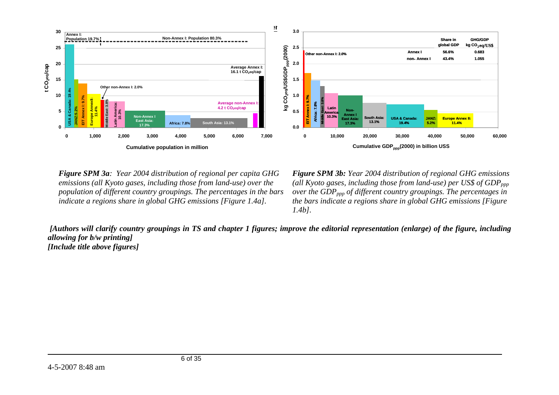

*Figure SPM 3a: Year 2004 distribution of regional per capita GHG emissions (all Kyoto gases, including those from land-use) over the population of different country groupings. The percentages in the bars indicate a regions share in global GHG emissions [Figure 1.4a].*

*Figure SPM 3b: Year 2004 distribution of regional GHG emissions (all Kyoto gases, including those from land-use) per US\$ of GDP*<sub>ppp</sub> *over the GDP<sub>ppp</sub> of different country groupings. The percentages in the bars indicate a regions share in global GHG emissions [Figure 1.4b].*

*[Authors will clarify country groupings in TS and chapter 1 figures; improve the editorial representation (enlarge) of the figure, including allowing for b/w printing] [Include title above figures]*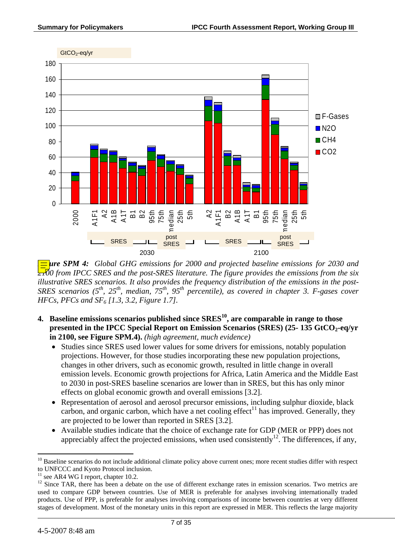

*Figure SPM 4: Global GHG emissions for 2000 and projected baseline emissions for 2030 and 2100 from IPCC SRES and the post-SRES literature. The figure provides the emissions from the six illustrative SRES scenarios. It also provides the frequency distribution of the emissions in the post-SRES scenarios (5th, 25th, median, 75th, 95th percentile), as covered in chapter 3. F-gases cover HFCs, PFCs and SF6 [1.3, 3.2, Figure 1.7].*

- **4. Baseline emissions scenarios published since SRES10, are comparable in range to those presented in the IPCC Special Report on Emission Scenarios (SRES) (25-135 GtCO<sub>2</sub>-eq/yr in 2100, see Figure SPM.4).** *(high agreement, much evidence)*
	- Studies since SRES used lower values for some drivers for emissions, notably population projections. However, for those studies incorporating these new population projections, changes in other drivers, such as economic growth, resulted in little change in overall emission levels. Economic growth projections for Africa, Latin America and the Middle East to 2030 in post-SRES baseline scenarios are lower than in SRES, but this has only minor effects on global economic growth and overall emissions [3.2].
	- Representation of aerosol and aerosol precursor emissions, including sulphur dioxide, black carbon, and organic carbon, which have a net cooling effect<sup>11</sup> has improved. Generally, they are projected to be lower than reported in SRES [3.2].
	- Available studies indicate that the choice of exchange rate for GDP (MER or PPP) does not appreciably affect the projected emissions, when used consistently<sup>12</sup>. The differences, if any,

 $\overline{a}$ 

<sup>&</sup>lt;sup>10</sup> Baseline scenarios do not include additional climate policy above current ones; more recent studies differ with respect to UNFCCC and Kyoto Protocol inclusion.<br><sup>11</sup> see AR4 WG I report, chapter 10.2.

<sup>&</sup>lt;sup>12</sup> Since TAR, there has been a debate on the use of different exchange rates in emission scenarios. Two metrics are used to compare GDP between countries. Use of MER is preferable for analyses involving internationally traded products. Use of PPP, is preferable for analyses involving comparisons of income between countries at very different stages of development. Most of the monetary units in this report are expressed in MER. This reflects the large majority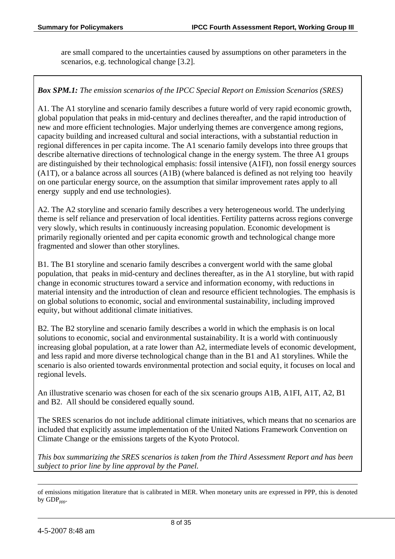are small compared to the uncertainties caused by assumptions on other parameters in the scenarios, e.g. technological change [3.2].

# *Box SPM.1: The emission scenarios of the IPCC Special Report on Emission Scenarios (SRES)*

A1. The A1 storyline and scenario family describes a future world of very rapid economic growth, global population that peaks in mid-century and declines thereafter, and the rapid introduction of new and more efficient technologies. Major underlying themes are convergence among regions, capacity building and increased cultural and social interactions, with a substantial reduction in regional differences in per capita income. The A1 scenario family develops into three groups that describe alternative directions of technological change in the energy system. The three A1 groups are distinguished by their technological emphasis: fossil intensive (A1FI), non fossil energy sources (A1T), or a balance across all sources (A1B) (where balanced is defined as not relying too heavily on one particular energy source, on the assumption that similar improvement rates apply to all energy supply and end use technologies).

A2. The A2 storyline and scenario family describes a very heterogeneous world. The underlying theme is self reliance and preservation of local identities. Fertility patterns across regions converge very slowly, which results in continuously increasing population. Economic development is primarily regionally oriented and per capita economic growth and technological change more fragmented and slower than other storylines.

B1. The B1 storyline and scenario family describes a convergent world with the same global population, that peaks in mid-century and declines thereafter, as in the A1 storyline, but with rapid change in economic structures toward a service and information economy, with reductions in material intensity and the introduction of clean and resource efficient technologies. The emphasis is on global solutions to economic, social and environmental sustainability, including improved equity, but without additional climate initiatives.

B2. The B2 storyline and scenario family describes a world in which the emphasis is on local solutions to economic, social and environmental sustainability. It is a world with continuously increasing global population, at a rate lower than A2, intermediate levels of economic development, and less rapid and more diverse technological change than in the B1 and A1 storylines. While the scenario is also oriented towards environmental protection and social equity, it focuses on local and regional levels.

An illustrative scenario was chosen for each of the six scenario groups A1B, A1FI, A1T, A2, B1 and B2. All should be considered equally sound.

The SRES scenarios do not include additional climate initiatives, which means that no scenarios are included that explicitly assume implementation of the United Nations Framework Convention on Climate Change or the emissions targets of the Kyoto Protocol.

*This box summarizing the SRES scenarios is taken from the Third Assessment Report and has been subject to prior line by line approval by the Panel.* 

of emissions mitigation literature that is calibrated in MER. When monetary units are expressed in PPP, this is denoted by  $GDP_{ppp}$ .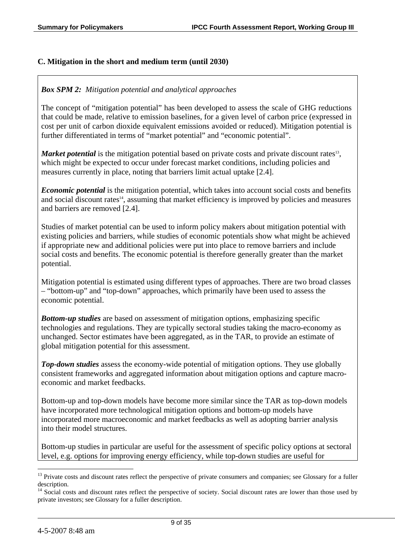# **C. Mitigation in the short and medium term (until 2030)**

# *Box SPM 2: Mitigation potential and analytical approaches*

The concept of "mitigation potential" has been developed to assess the scale of GHG reductions that could be made, relative to emission baselines, for a given level of carbon price (expressed in cost per unit of carbon dioxide equivalent emissions avoided or reduced). Mitigation potential is further differentiated in terms of "market potential" and "economic potential".

*Market potential* is the mitigation potential based on private costs and private discount rates<sup>13</sup>, which might be expected to occur under forecast market conditions, including policies and measures currently in place, noting that barriers limit actual uptake [2.4].

*Economic potential* is the mitigation potential, which takes into account social costs and benefits and social discount rates<sup>14</sup>, assuming that market efficiency is improved by policies and measures and barriers are removed [2.4].

Studies of market potential can be used to inform policy makers about mitigation potential with existing policies and barriers, while studies of economic potentials show what might be achieved if appropriate new and additional policies were put into place to remove barriers and include social costs and benefits. The economic potential is therefore generally greater than the market potential.

Mitigation potential is estimated using different types of approaches. There are two broad classes – "bottom-up" and "top-down" approaches, which primarily have been used to assess the economic potential.

*Bottom-up studies* are based on assessment of mitigation options, emphasizing specific technologies and regulations. They are typically sectoral studies taking the macro-economy as unchanged. Sector estimates have been aggregated, as in the TAR, to provide an estimate of global mitigation potential for this assessment.

*Top-down studies* assess the economy-wide potential of mitigation options. They use globally consistent frameworks and aggregated information about mitigation options and capture macroeconomic and market feedbacks.

Bottom-up and top-down models have become more similar since the TAR as top-down models have incorporated more technological mitigation options and bottom-up models have incorporated more macroeconomic and market feedbacks as well as adopting barrier analysis into their model structures.

Bottom-up studies in particular are useful for the assessment of specific policy options at sectoral level, e.g. options for improving energy efficiency, while top-down studies are useful for

 $\overline{a}$ 

<sup>&</sup>lt;sup>13</sup> Private costs and discount rates reflect the perspective of private consumers and companies; see Glossary for a fuller description.<br><sup>14</sup> Social costs and discount rates reflect the perspective of society. Social discount rates are lower than those used by

private investors; see Glossary for a fuller description.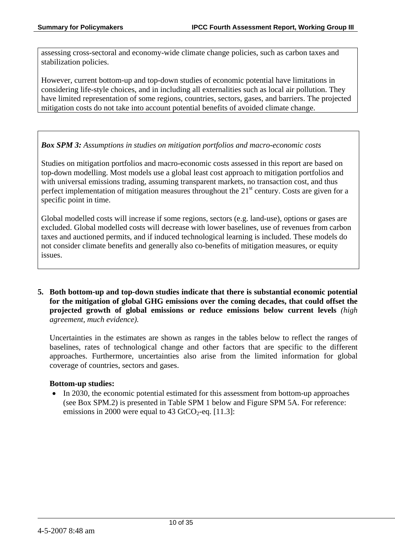assessing cross-sectoral and economy-wide climate change policies, such as carbon taxes and stabilization policies.

However, current bottom-up and top-down studies of economic potential have limitations in considering life-style choices, and in including all externalities such as local air pollution. They have limited representation of some regions, countries, sectors, gases, and barriers. The projected mitigation costs do not take into account potential benefits of avoided climate change.

#### *Box SPM 3: Assumptions in studies on mitigation portfolios and macro-economic costs*

Studies on mitigation portfolios and macro-economic costs assessed in this report are based on top-down modelling. Most models use a global least cost approach to mitigation portfolios and with universal emissions trading, assuming transparent markets, no transaction cost, and thus perfect implementation of mitigation measures throughout the  $21<sup>st</sup>$  century. Costs are given for a specific point in time.

Global modelled costs will increase if some regions, sectors (e.g. land-use), options or gases are excluded. Global modelled costs will decrease with lower baselines, use of revenues from carbon taxes and auctioned permits, and if induced technological learning is included. These models do not consider climate benefits and generally also co-benefits of mitigation measures, or equity issues.

**5. Both bottom-up and top-down studies indicate that there is substantial economic potential for the mitigation of global GHG emissions over the coming decades, that could offset the projected growth of global emissions or reduce emissions below current levels** *(high agreement, much evidence).* 

Uncertainties in the estimates are shown as ranges in the tables below to reflect the ranges of baselines, rates of technological change and other factors that are specific to the different approaches. Furthermore, uncertainties also arise from the limited information for global coverage of countries, sectors and gases.

#### **Bottom-up studies:**

• In 2030, the economic potential estimated for this assessment from bottom-up approaches (see Box SPM.2) is presented in Table SPM 1 below and Figure SPM 5A. For reference: emissions in 2000 were equal to  $43$  GtCO<sub>2</sub>-eq. [11.3]: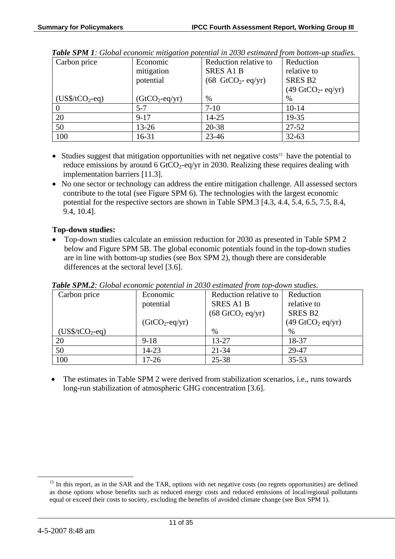| Carbon price    | Economic        | Reduction relative to               | Reduction                            |
|-----------------|-----------------|-------------------------------------|--------------------------------------|
|                 | mitigation      | <b>SRES A1 B</b>                    | relative to                          |
|                 | potential       | $(68 \text{ GtCO}_2\text{- eq/yr})$ | <b>SRES B2</b>                       |
|                 |                 |                                     | $(49 \text{ GtCO}_2 \text{- eq/yr})$ |
| $(US$/tCO2-eq)$ | $(GtCO2-eq/yr)$ | $\%$                                | $\%$                                 |
|                 | $5 - 7$         | $7-10$                              | $10-14$                              |
| 20              | $9 - 17$        | 14-25                               | 19-35                                |
| 50              | $13 - 26$       | 20-38                               | $27 - 52$                            |
| 100             | 16-31           | $23 - 46$                           | $32 - 63$                            |

*Table SPM 1: Global economic mitigation potential in 2030 estimated from bottom-up studies.* 

- Studies suggest that mitigation opportunities with net negative costs<sup>15</sup> have the potential to reduce emissions by around 6 GtCO<sub>2</sub>-eq/yr in 2030. Realizing these requires dealing with implementation barriers [11.3].
- No one sector or technology can address the entire mitigation challenge. All assessed sectors contribute to the total (see Figure SPM 6). The technologies with the largest economic potential for the respective sectors are shown in Table SPM.3 [4.3, 4.4, 5.4, 6.5, 7.5, 8.4, 9.4, 10.4].

#### **Top-down studies:**

• Top-down studies calculate an emission reduction for 2030 as presented in Table SPM 2 below and Figure SPM 5B. The global economic potentials found in the top-down studies are in line with bottom-up studies (see Box SPM 2), though there are considerable differences at the sectoral level [3.6].

| Carbon price    | Economic        | Reduction relative to               | Reduction                           |
|-----------------|-----------------|-------------------------------------|-------------------------------------|
|                 | potential       | <b>SRES A1 B</b>                    | relative to                         |
|                 |                 | $(68 \text{ GtCO}_2 \text{ eq/yr})$ | <b>SRES B2</b>                      |
|                 | $(GtCO2-eq/yr)$ |                                     | $(49 \text{ GtCO}_2 \text{ eq/yr})$ |
| $(US$/tCO2-eq)$ |                 | $\%$                                | $\%$                                |
| 20              | $9-18$          | $13 - 27$                           | 18-37                               |
| 50              | 14-23           | $21 - 34$                           | 29-47                               |
| 100             | $17 - 26$       | 25-38                               | $35 - 53$                           |

*Table SPM.2: Global economic potential in 2030 estimated from top-down studies.* 

• The estimates in Table SPM 2 were derived from stabilization scenarios, i.e., runs towards long-run stabilization of atmospheric GHG concentration [3.6].

 $15$  In this report, as in the SAR and the TAR, options with net negative costs (no regrets opportunities) are defined as those options whose benefits such as reduced energy costs and reduced emissions of local/regional pollutants equal or exceed their costs to society, excluding the benefits of avoided climate change (see Box SPM 1).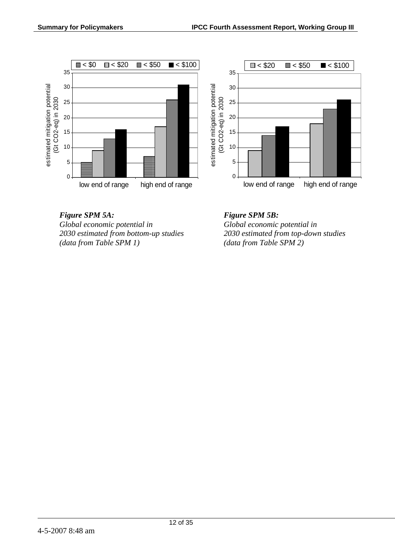

*Figure SPM 5A: Global economic potential in 2030 estimated from bottom-up studies (data from Table SPM 1)*

*Figure SPM 5B:*

*Global economic potential in 2030 estimated from top-down studies (data from Table SPM 2)*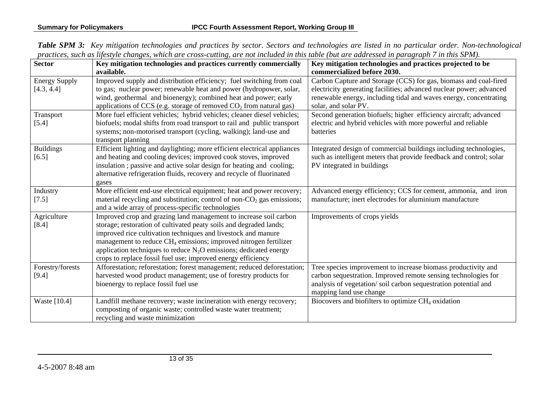| <b>Sector</b>        | Key mitigation technologies and practices currently commercially                                                       | Key mitigation technologies and practices projected to be           |
|----------------------|------------------------------------------------------------------------------------------------------------------------|---------------------------------------------------------------------|
|                      | available.                                                                                                             | commercialized before 2030.                                         |
| <b>Energy Supply</b> | Improved supply and distribution efficiency; fuel switching from coal                                                  | Carbon Capture and Storage (CCS) for gas, biomass and coal-fired    |
| [4.3, 4.4]           | to gas; nuclear power; renewable heat and power (hydropower, solar,                                                    | electricity generating facilities; advanced nuclear power; advanced |
|                      | wind, geothermal and bioenergy); combined heat and power; early                                                        | renewable energy, including tidal and waves energy, concentrating   |
|                      | applications of CCS (e.g. storage of removed CO <sub>2</sub> from natural gas)                                         | solar, and solar PV.                                                |
| Transport            | More fuel efficient vehicles; hybrid vehicles; cleaner diesel vehicles;                                                | Second generation biofuels; higher efficiency aircraft; advanced    |
| $[5.4]$              | biofuels; modal shifts from road transport to rail and public transport                                                | electric and hybrid vehicles with more powerful and reliable        |
|                      | systems; non-motorised transport (cycling, walking); land-use and                                                      | batteries                                                           |
|                      | transport planning                                                                                                     |                                                                     |
| <b>Buildings</b>     | Efficient lighting and daylighting; more efficient electrical appliances                                               | Integrated design of commercial buildings including technologies,   |
| $[6.5]$              | and heating and cooling devices; improved cook stoves, improved                                                        | such as intelligent meters that provide feedback and control; solar |
|                      | insulation; passive and active solar design for heating and cooling;                                                   | PV integrated in buildings                                          |
|                      | alternative refrigeration fluids, recovery and recycle of fluorinated                                                  |                                                                     |
|                      | gases                                                                                                                  |                                                                     |
| Industry             | More efficient end-use electrical equipment; heat and power recovery;                                                  | Advanced energy efficiency; CCS for cement, ammonia, and iron       |
| [7.5]                | material recycling and substitution; control of non- $CO2$ gas emissions;                                              | manufacture; inert electrodes for aluminium manufacture             |
| Agriculture          | and a wide array of process-specific technologies<br>Improved crop and grazing land management to increase soil carbon | Improvements of crops yields                                        |
| [8.4]                | storage; restoration of cultivated peaty soils and degraded lands;                                                     |                                                                     |
|                      | improved rice cultivation techniques and livestock and manure                                                          |                                                                     |
|                      | management to reduce CH <sub>4</sub> emissions; improved nitrogen fertilizer                                           |                                                                     |
|                      | application techniques to reduce $N_2O$ emissions; dedicated energy                                                    |                                                                     |
|                      | crops to replace fossil fuel use; improved energy efficiency                                                           |                                                                     |
| Forestry/forests     | Afforestation; reforestation; forest management; reduced deforestation;                                                | Tree species improvement to increase biomass productivity and       |
| [9.4]                | harvested wood product management; use of forestry products for                                                        | carbon sequestration. Improved remote sensing technologies for      |
|                      | bioenergy to replace fossil fuel use                                                                                   | analysis of vegetation/soil carbon sequestration potential and      |
|                      |                                                                                                                        | mapping land use change                                             |
| Waste [10.4]         | Landfill methane recovery; waste incineration with energy recovery;                                                    | Biocovers and biofilters to optimize CH <sub>4</sub> oxidation      |
|                      | composting of organic waste; controlled waste water treatment;                                                         |                                                                     |
|                      | recycling and waste minimization                                                                                       |                                                                     |

*Table SPM 3: Key mitigation technologies and practices by sector. Sectors and technologies are listed in no particular order. Non-technological practices, such as lifestyle changes, which are cross-cutting, are not included in this table (but are addressed in paragraph 7 in this SPM).*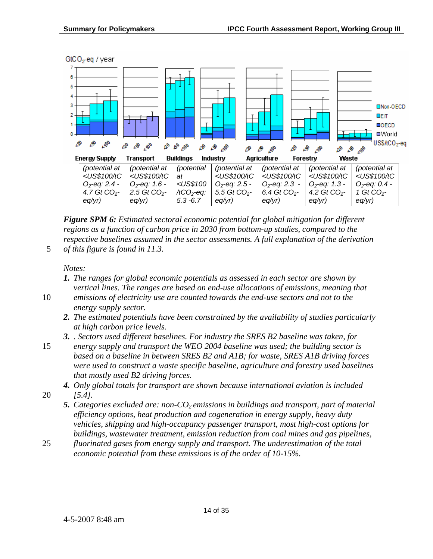

*Figure SPM 6: Estimated sectoral economic potential for global mitigation for different regions as a function of carbon price in 2030 from bottom-up studies, compared to the respective baselines assumed in the sector assessments. A full explanation of the derivation*  5 *of this figure is found in 11.3.* 

*Notes:* 

*1. The ranges for global economic potentials as assessed in each sector are shown by vertical lines. The ranges are based on end-use allocations of emissions, meaning that* 

10 *emissions of electricity use are counted towards the end-use sectors and not to the energy supply sector.* 

*2. The estimated potentials have been constrained by the availability of studies particularly at high carbon price levels.* 

*3. . Sectors used different baselines. For industry the SRES B2 baseline was taken, for* 

- 15 *energy supply and transport the WEO 2004 baseline was used; the building sector is based on a baseline in between SRES B2 and A1B; for waste, SRES A1B driving forces were used to construct a waste specific baseline, agriculture and forestry used baselines that mostly used B2 driving forces.* 
	- *4. Only global totals for transport are shown because international aviation is included [5.4].*
- 20 **5.** *Categories excluded are: non-CO<sub>2</sub> emissions in buildings and transport, part of material efficiency options, heat production and cogeneration in energy supply, heavy duty vehicles, shipping and high-occupancy passenger transport, most high-cost options for buildings, wastewater treatment, emission reduction from coal mines and gas pipelines,*
- 25 *fluorinated gases from energy supply and transport. The underestimation of the total economic potential from these emissions is of the order of 10-15%.*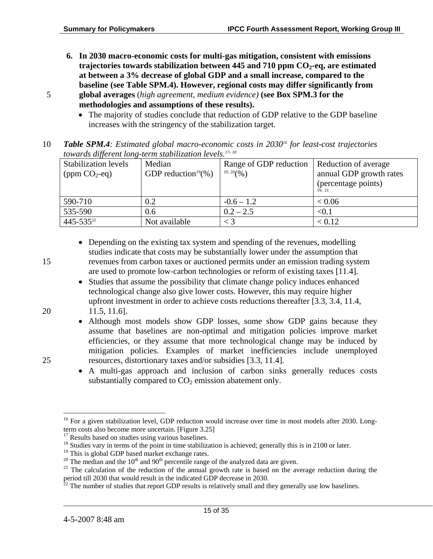**6. In 2030 macro-economic costs for multi-gas mitigation, consistent with emissions trajectories towards stabilization between 445 and 710 ppm CO2-eq, are estimated at between a 3% decrease of global GDP and a small increase, compared to the baseline (see Table SPM.4). However, regional costs may differ significantly from** 

**global averages** (*high agreement, medium evidence)* **(see Box SPM.3 for the methodologies and assumptions of these results).** 

10 *Table SPM.4: Estimated global macro-economic costs in 203016 for least-cost trajectories towards different long-term stabilization levels.17, 18* 

| $\cdot$<br><b>Stabilization levels</b><br>$(ppm CO2-eq)$ | Median<br>GDP reduction <sup>19</sup> $(\%)$ | Range of GDP reduction<br>19, 20(96) | Reduction of average<br>annual GDP growth rates<br>(percentage points) |
|----------------------------------------------------------|----------------------------------------------|--------------------------------------|------------------------------------------------------------------------|
|                                                          |                                              |                                      | 19. 21                                                                 |
| 590-710                                                  | 0.2                                          | $-0.6 - 1.2$                         | < 0.06                                                                 |
| 535-590                                                  | 0.6                                          | $0.2 - 2.5$                          | < 0.1                                                                  |
| 445-53522                                                | Not available                                | $<$ 3                                | < 0.12                                                                 |

- Depending on the existing tax system and spending of the revenues, modelling studies indicate that costs may be substantially lower under the assumption that revenues from carbon taxes or auctioned permits under an emission trading system are used to promote low-carbon technologies or reform of existing taxes [11.4].
- Studies that assume the possibility that climate change policy induces enhanced technological change also give lower costs. However, this may require higher upfront investment in order to achieve costs reductions thereafter [3.3, 3.4, 11.4, 11.5, 11.6].
- Although most models show GDP losses, some show GDP gains because they assume that baselines are non-optimal and mitigation policies improve market efficiencies, or they assume that more technological change may be induced by mitigation policies. Examples of market inefficiencies include unemployed resources, distortionary taxes and/or subsidies [3.3, 11.4].
- A multi-gas approach and inclusion of carbon sinks generally reduces costs substantially compared to  $CO<sub>2</sub>$  emission abatement only.

20

15

5

<sup>•</sup> The majority of studies conclude that reduction of GDP relative to the GDP baseline increases with the stringency of the stabilization target.

 $\overline{a}$ <sup>16</sup> For a given stabilization level, GDP reduction would increase over time in most models after 2030. Long-<br>term costs also become more uncertain. [Figure 3.25]

<sup>&</sup>lt;sup>17</sup> Results based on studies using various baselines. <sup>18</sup> Studies vary in terms of the point in time stabilization is achieved; generally this is in 2100 or later.

<sup>&</sup>lt;sup>19</sup> This is global GDP based market exchange rates.<br><sup>20</sup> The median and the 10<sup>th</sup> and 90<sup>th</sup> percentile range of the analyzed data are given.<br><sup>21</sup> The calculation of the reduction of the annual growth rate is based on t period till 2030 that would result in the indicated GDP decrease in 2030.<br><sup>22</sup> The number of studies that report GDP results is relatively small and they generally use low baselines.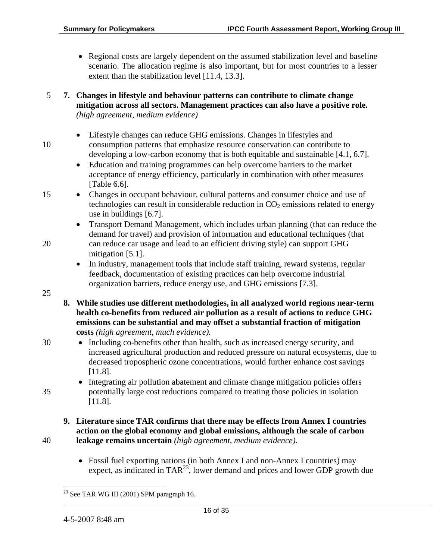- Regional costs are largely dependent on the assumed stabilization level and baseline scenario. The allocation regime is also important, but for most countries to a lesser extent than the stabilization level [11.4, 13.3].
- 5 **7. Changes in lifestyle and behaviour patterns can contribute to climate change mitigation across all sectors. Management practices can also have a positive role.**  *(high agreement, medium evidence)*
	- Lifestyle changes can reduce GHG emissions. Changes in lifestyles and consumption patterns that emphasize resource conservation can contribute to developing a low-carbon economy that is both equitable and sustainable [4.1, 6.7].
	- Education and training programmes can help overcome barriers to the market acceptance of energy efficiency, particularly in combination with other measures [Table 6.6].
	- Changes in occupant behaviour, cultural patterns and consumer choice and use of technologies can result in considerable reduction in  $CO<sub>2</sub>$  emissions related to energy use in buildings [6.7].
		- Transport Demand Management, which includes urban planning (that can reduce the demand for travel) and provision of information and educational techniques (that can reduce car usage and lead to an efficient driving style) can support GHG mitigation [5.1].
		- In industry, management tools that include staff training, reward systems, regular feedback, documentation of existing practices can help overcome industrial organization barriers, reduce energy use, and GHG emissions [7.3].
- 25

15

20

- **8. While studies use different methodologies, in all analyzed world regions near-term health co-benefits from reduced air pollution as a result of actions to reduce GHG emissions can be substantial and may offset a substantial fraction of mitigation costs** *(high agreement, much evidence).*
- 30 • Including co-benefits other than health, such as increased energy security, and increased agricultural production and reduced pressure on natural ecosystems, due to decreased tropospheric ozone concentrations, would further enhance cost savings [11.8].
- 35

40

• Integrating air pollution abatement and climate change mitigation policies offers potentially large cost reductions compared to treating those policies in isolation [11.8].

#### **9. Literature since TAR confirms that there may be effects from Annex I countries action on the global economy and global emissions, although the scale of carbon leakage remains uncertain** *(high agreement, medium evidence).*

• Fossil fuel exporting nations (in both Annex I and non-Annex I countries) may expect, as indicated in  $TAR^{23}$ , lower demand and prices and lower GDP growth due

 $\overline{a}$  $23$  See TAR WG III (2001) SPM paragraph 16.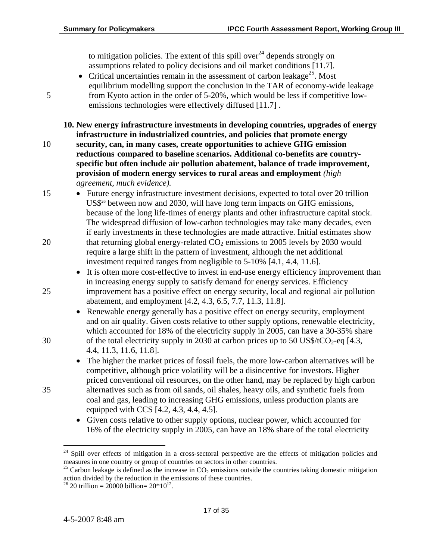10

25

30

35

to mitigation policies. The extent of this spill over $^{24}$  depends strongly on assumptions related to policy decisions and oil market conditions [11.7].

• Critical uncertainties remain in the assessment of carbon leakage<sup>25</sup>. Most equilibrium modelling support the conclusion in the TAR of economy-wide leakage from Kyoto action in the order of 5-20%, which would be less if competitive lowemissions technologies were effectively diffused [11.7] .

**10. New energy infrastructure investments in developing countries, upgrades of energy infrastructure in industrialized countries, and policies that promote energy security, can, in many cases, create opportunities to achieve GHG emission reductions compared to baseline scenarios. Additional co-benefits are countryspecific but often include air pollution abatement, balance of trade improvement, provision of modern energy services to rural areas and employment** *(high agreement, much evidence).*

- 15 20 • Future energy infrastructure investment decisions, expected to total over 20 trillion US\$26 between now and 2030, will have long term impacts on GHG emissions, because of the long life-times of energy plants and other infrastructure capital stock. The widespread diffusion of low-carbon technologies may take many decades, even if early investments in these technologies are made attractive. Initial estimates show that returning global energy-related  $CO<sub>2</sub>$  emissions to 2005 levels by 2030 would require a large shift in the pattern of investment, although the net additional investment required ranges from negligible to 5-10% [4.1, 4.4, 11.6].
	- It is often more cost-effective to invest in end-use energy efficiency improvement than in increasing energy supply to satisfy demand for energy services. Efficiency improvement has a positive effect on energy security, local and regional air pollution abatement, and employment [4.2, 4.3, 6.5, 7.7, 11.3, 11.8].
	- Renewable energy generally has a positive effect on energy security, employment and on air quality. Given costs relative to other supply options, renewable electricity, which accounted for 18% of the electricity supply in 2005, can have a 30-35% share of the total electricity supply in 2030 at carbon prices up to 50 US\$/tCO<sub>2</sub>-eq [4.3, 4.4, 11.3, 11.6, 11.8].
	- The higher the market prices of fossil fuels, the more low-carbon alternatives will be competitive, although price volatility will be a disincentive for investors. Higher priced conventional oil resources, on the other hand, may be replaced by high carbon alternatives such as from oil sands, oil shales, heavy oils, and synthetic fuels from coal and gas, leading to increasing GHG emissions, unless production plants are equipped with CCS [4.2, 4.3, 4.4, 4.5].
	- Given costs relative to other supply options, nuclear power, which accounted for 16% of the electricity supply in 2005, can have an 18% share of the total electricity

 $\overline{a}$ 

<sup>&</sup>lt;sup>24</sup> Spill over effects of mitigation in a cross-sectoral perspective are the effects of mitigation policies and measures in one country or group of countries on sectors in other countries.

 $\frac{25}{25}$  Carbon leakage is defined as the increase in CO<sub>2</sub> emissions outside the countries taking domestic mitigation action divided by the reduction in the emissions of these countries. <sup>26</sup> 20 trillion = 20000 billion=  $20*10^{12}$ .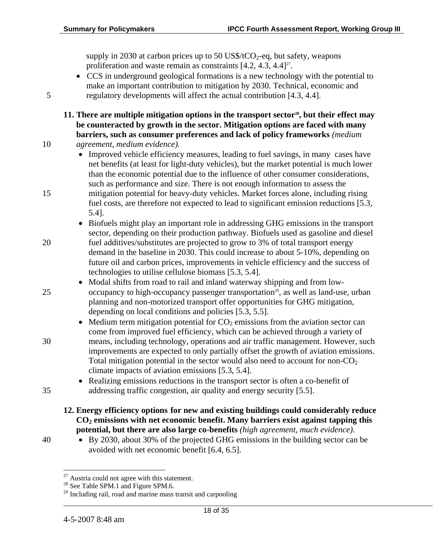supply in 2030 at carbon prices up to 50  $\text{US\%/CO}_2$ -eq, but safety, weapons proliferation and waste remain as constraints  $[4.2, 4.3, 4.4]^{27}$ . 5 10 15 20 25 30 35 • CCS in underground geological formations is a new technology with the potential to make an important contribution to mitigation by 2030. Technical, economic and regulatory developments will affect the actual contribution [4.3, 4.4]. 11. There are multiple mitigation options in the transport sector<sup>28</sup>, but their effect may **be counteracted by growth in the sector. Mitigation options are faced with many barriers, such as consumer preferences and lack of policy frameworks** *(medium agreement, medium evidence).* • Improved vehicle efficiency measures, leading to fuel savings, in many cases have net benefits (at least for light-duty vehicles), but the market potential is much lower than the economic potential due to the influence of other consumer considerations, such as performance and size. There is not enough information to assess the mitigation potential for heavy-duty vehicles. Market forces alone, including rising fuel costs, are therefore not expected to lead to significant emission reductions [5.3, 5.4]. • Biofuels might play an important role in addressing GHG emissions in the transport sector, depending on their production pathway. Biofuels used as gasoline and diesel fuel additives/substitutes are projected to grow to 3% of total transport energy demand in the baseline in 2030. This could increase to about 5-10%, depending on future oil and carbon prices, improvements in vehicle efficiency and the success of technologies to utilise cellulose biomass [5.3, 5.4]. • Modal shifts from road to rail and inland waterway shipping and from lowoccupancy to high-occupancy passenger transportation<sup>29</sup>, as well as land-use, urban planning and non-motorized transport offer opportunities for GHG mitigation, depending on local conditions and policies [5.3, 5.5]. • Medium term mitigation potential for  $CO<sub>2</sub>$  emissions from the aviation sector can come from improved fuel efficiency, which can be achieved through a variety of means, including technology, operations and air traffic management. However, such improvements are expected to only partially offset the growth of aviation emissions. Total mitigation potential in the sector would also need to account for non- $CO<sub>2</sub>$ climate impacts of aviation emissions [5.3, 5.4]. • Realizing emissions reductions in the transport sector is often a co-benefit of addressing traffic congestion, air quality and energy security [5.5].

**12. Energy efficiency options for new and existing buildings could considerably reduce CO2 emissions with net economic benefit. Many barriers exist against tapping this potential, but there are also large co-benefits** *(high agreement, much evidence)*.

• By 2030, about 30% of the projected GHG emissions in the building sector can be avoided with net economic benefit [6.4, 6.5].

 $27$  Austria could not agree with this statement.

<sup>&</sup>lt;sup>28</sup> See Table SPM.1 and Figure SPM.6. <sup>29</sup> Including rail, road and marine mass transit and carpooling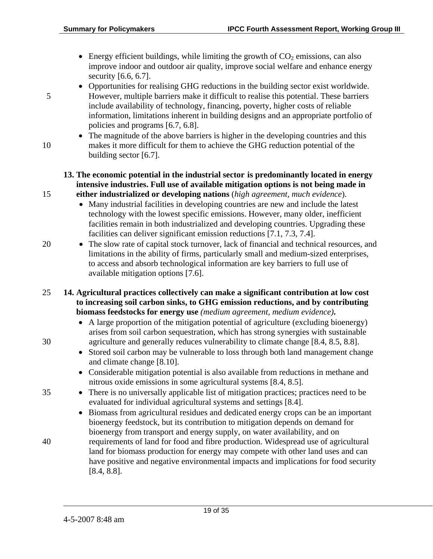- Energy efficient buildings, while limiting the growth of  $CO<sub>2</sub>$  emissions, can also improve indoor and outdoor air quality, improve social welfare and enhance energy security [6.6, 6.7].
- Opportunities for realising GHG reductions in the building sector exist worldwide. However, multiple barriers make it difficult to realise this potential. These barriers include availability of technology, financing, poverty, higher costs of reliable information, limitations inherent in building designs and an appropriate portfolio of policies and programs [6.7, 6.8].
- The magnitude of the above barriers is higher in the developing countries and this makes it more difficult for them to achieve the GHG reduction potential of the building sector [6.7].

**13. The economic potential in the industrial sector is predominantly located in energy intensive industries. Full use of available mitigation options is not being made in either industrialized or developing nations** (*high agreement, much evidence*).

- Many industrial facilities in developing countries are new and include the latest technology with the lowest specific emissions. However, many older, inefficient facilities remain in both industrialized and developing countries. Upgrading these facilities can deliver significant emission reductions [7.1, 7.3, 7.4].
- 20 • The slow rate of capital stock turnover, lack of financial and technical resources, and limitations in the ability of firms, particularly small and medium-sized enterprises, to access and absorb technological information are key barriers to full use of available mitigation options [7.6].
- 25 **14. Agricultural practices collectively can make a significant contribution at low cost to increasing soil carbon sinks, to GHG emission reductions, and by contributing biomass feedstocks for energy use** *(medium agreement, medium evidence)***.** 
	- A large proportion of the mitigation potential of agriculture (excluding bioenergy) arises from soil carbon sequestration, which has strong synergies with sustainable agriculture and generally reduces vulnerability to climate change [8.4, 8.5, 8.8].
	- Stored soil carbon may be vulnerable to loss through both land management change and climate change [8.10].
	- Considerable mitigation potential is also available from reductions in methane and nitrous oxide emissions in some agricultural systems [8.4, 8.5].
	- There is no universally applicable list of mitigation practices; practices need to be evaluated for individual agricultural systems and settings [8.4].
		- Biomass from agricultural residues and dedicated energy crops can be an important bioenergy feedstock, but its contribution to mitigation depends on demand for bioenergy from transport and energy supply, on water availability, and on
- 40 requirements of land for food and fibre production. Widespread use of agricultural land for biomass production for energy may compete with other land uses and can have positive and negative environmental impacts and implications for food security [8.4, 8.8].

15

10

5



35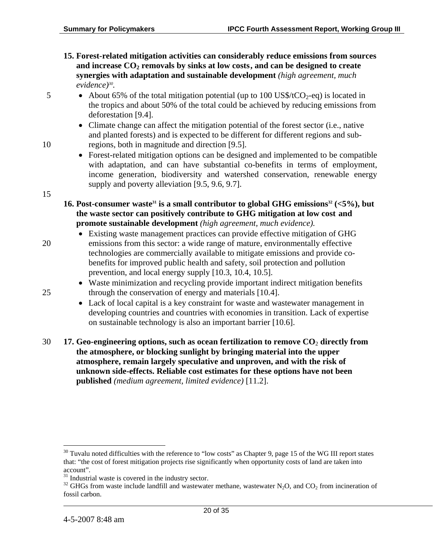- **15. Forest-related mitigation activities can considerably reduce emissions from sources**  and increase CO<sub>2</sub> removals by sinks at low costs, and can be designed to create **synergies with adaptation and sustainable development** *(high agreement, much evidence)30.*
- 5
- About 65% of the total mitigation potential (up to 100 US\$/tCO<sub>2</sub>-eq) is located in the tropics and about 50% of the total could be achieved by reducing emissions from deforestation [9.4].
- Climate change can affect the mitigation potential of the forest sector (i.e., native and planted forests) and is expected to be different for different regions and subregions, both in magnitude and direction [9.5].
- Forest-related mitigation options can be designed and implemented to be compatible with adaptation, and can have substantial co-benefits in terms of employment, income generation, biodiversity and watershed conservation, renewable energy supply and poverty alleviation [9.5, 9.6, 9.7].
- 15

25

10

- 16. Post-consumer waste<sup>31</sup> is a small contributor to global GHG emissions<sup>32</sup> ( $\lt 5\%$ ), but **the waste sector can positively contribute to GHG mitigation at low cost and promote sustainable development** *(high agreement, much evidence).*
- Existing waste management practices can provide effective mitigation of GHG emissions from this sector: a wide range of mature, environmentally effective technologies are commercially available to mitigate emissions and provide cobenefits for improved public health and safety, soil protection and pollution prevention, and local energy supply [10.3, 10.4, 10.5].
	- Waste minimization and recycling provide important indirect mitigation benefits through the conservation of energy and materials [10.4].
	- Lack of local capital is a key constraint for waste and wastewater management in developing countries and countries with economies in transition. Lack of expertise on sustainable technology is also an important barrier [10.6].
- 30 **17. Geo-engineering options, such as ocean fertilization to remove CO**2 **directly from the atmosphere, or blocking sunlight by bringing material into the upper atmosphere, remain largely speculative and unproven, and with the risk of unknown side-effects. Reliable cost estimates for these options have not been published** *(medium agreement, limited evidence)* [11.2].

 $\overline{a}$ 

 $30$  Tuvalu noted difficulties with the reference to "low costs" as Chapter 9, page 15 of the WG III report states that: "the cost of forest mitigation projects rise significantly when opportunity costs of land are taken into  $\frac{31}{31}$  Industrial waste is covered in the industry sector.

<sup>&</sup>lt;sup>32</sup> GHGs from waste include landfill and wastewater methane, wastewater N<sub>2</sub>O, and CO<sub>2</sub> from incineration of fossil carbon.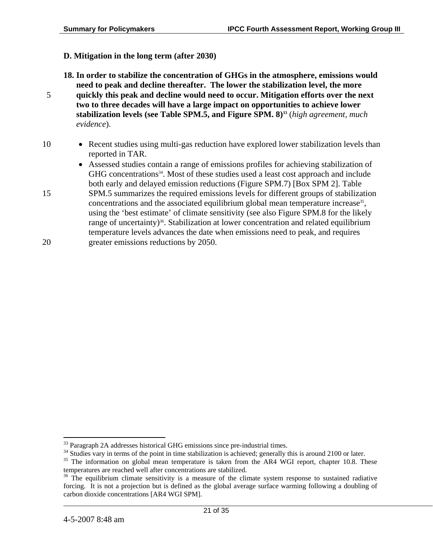- **D. Mitigation in the long term (after 2030)**
- **18. In order to stabilize the concentration of GHGs in the atmosphere, emissions would need to peak and decline thereafter. The lower the stabilization level, the more quickly this peak and decline would need to occur. Mitigation efforts over the next two to three decades will have a large impact on opportunities to achieve lower stabilization levels (see Table SPM.5, and Figure SPM. 8)33** (*high agreement, much evidence*).
- 10 • Recent studies using multi-gas reduction have explored lower stabilization levels than reported in TAR.
	- Assessed studies contain a range of emissions profiles for achieving stabilization of GHG concentrations<sup>34</sup>. Most of these studies used a least cost approach and include both early and delayed emission reductions (Figure SPM.7) [Box SPM 2]. Table
- 15 20 SPM.5 summarizes the required emissions levels for different groups of stabilization concentrations and the associated equilibrium global mean temperature increase<sup>35</sup>, using the 'best estimate' of climate sensitivity (see also Figure SPM.8 for the likely range of uncertainty)<sup>36</sup>. Stabilization at lower concentration and related equilibrium temperature levels advances the date when emissions need to peak, and requires greater emissions reductions by 2050.

 $\overline{a}$ 

<sup>&</sup>lt;sup>33</sup> Paragraph 2A addresses historical GHG emissions since pre-industrial times.<br><sup>34</sup> Studies vary in terms of the point in time stabilization is achieved; generally this is around 2100 or later.<br><sup>35</sup> The information on g

 $36$  The equilibrium climate sensitivity is a measure of the climate system response to sustained radiative forcing. It is not a projection but is defined as the global average surface warming following a doubling of carbon dioxide concentrations [AR4 WGI SPM].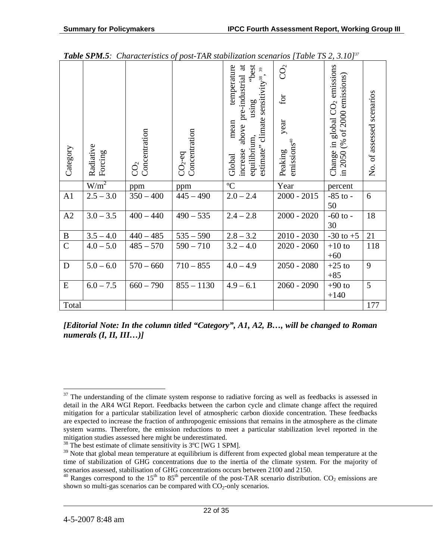| Category       | Radiative<br>Forcing | Concentration<br>CO <sub>2</sub> | Concentration<br>$CO2$ -eq | $\sharp$<br>temperature<br>'best<br>$\mathfrak{S}6$<br>above pre-industrial<br>estimate" climate sensitivity <sup>38</sup> ,<br>using<br>mean<br>equilibrium,<br>increase<br>Global | $\rm CO_2$<br>for<br>year<br>emissions <sup>40</sup><br>Peaking | global CO <sub>2</sub> emissions<br>(% of $2000$ emissions)<br>$\Xi$ .<br>in 2050<br>Change | No. of assessed scenarios |
|----------------|----------------------|----------------------------------|----------------------------|-------------------------------------------------------------------------------------------------------------------------------------------------------------------------------------|-----------------------------------------------------------------|---------------------------------------------------------------------------------------------|---------------------------|
|                | $W/m^2$              | ppm                              | ppm                        | $\rm ^{o}C$                                                                                                                                                                         | Year                                                            | percent                                                                                     |                           |
| A <sub>1</sub> | $2.5 - 3.0$          | $350 - 400$                      | $445 - 490$                | $2.0 - 2.4$                                                                                                                                                                         | $2000 - 2015$                                                   | $-85$ to $-$<br>50                                                                          | 6                         |
| A2             | $3.0 - 3.5$          | $400 - 440$                      | $490 - 535$                | $2.4 - 2.8$                                                                                                                                                                         | $2000 - 2020$                                                   | $-60$ to $-$<br>30                                                                          | 18                        |
| $\, {\bf B}$   | $3.5 - 4.0$          | $440 - 485$                      | $535 - 590$                | $2.8 - 3.2$                                                                                                                                                                         | $2010 - 2030$                                                   | $-30$ to $+5$                                                                               | 21                        |
| $\mathcal{C}$  | $4.0 - 5.0$          | $485 - 570$                      | $590 - 710$                | $3.2 - 4.0$                                                                                                                                                                         | $2020 - 2060$                                                   | $+10$ to                                                                                    | 118                       |
|                |                      |                                  |                            |                                                                                                                                                                                     |                                                                 | $+60$                                                                                       |                           |
| D              | $5.0 - 6.0$          | $570 - 660$                      | $710 - 855$                | $4.0 - 4.9$                                                                                                                                                                         | $2050 - 2080$                                                   | $+25$ to                                                                                    | 9                         |
|                |                      |                                  |                            |                                                                                                                                                                                     |                                                                 | $+85$                                                                                       |                           |
| E              | $6.0 - 7.5$          | $660 - 790$                      | $855 - 1130$               | $4.9 - 6.1$                                                                                                                                                                         | $2060 - 2090$                                                   | $+90$ to                                                                                    | 5                         |
|                |                      |                                  |                            |                                                                                                                                                                                     |                                                                 | $+140$                                                                                      |                           |
| Total          |                      |                                  |                            |                                                                                                                                                                                     |                                                                 |                                                                                             | 177                       |

| <b>Table SPM.5</b> : Characteristics of post-TAR stabilization scenarios [Table TS 2, 3.10] <sup>37</sup> |  |  |  |  |  |
|-----------------------------------------------------------------------------------------------------------|--|--|--|--|--|
|                                                                                                           |  |  |  |  |  |

*[Editorial Note: In the column titled "Category", A1, A2, B…, will be changed to Roman numerals (I, II, III…)]* 

 $\overline{a}$  $37$  The understanding of the climate system response to radiative forcing as well as feedbacks is assessed in detail in the AR4 WGI Report. Feedbacks between the carbon cycle and climate change affect the required mitigation for a particular stabilization level of atmospheric carbon dioxide concentration. These feedbacks are expected to increase the fraction of anthropogenic emissions that remains in the atmosphere as the climate system warms. Therefore, the emission reductions to meet a particular stabilization level reported in the mitigation studies assessed here might be underestimated.<br><sup>38</sup> The best estimate of climate sensitivity is 3°C [WG 1 SPM].

<sup>&</sup>lt;sup>39</sup> Note that global mean temperature at equilibrium is different from expected global mean temperature at the time of stabilization of GHG concentrations due to the inertia of the climate system. For the majority of scenarios assessed, stabilisation of GHG concentrations occurs between 2100 and 2150.

<sup>&</sup>lt;sup>40</sup> Ranges correspond to the 15<sup>th</sup> to 85<sup>th</sup> percentile of the post-TAR scenario distribution. CO<sub>2</sub> emissions are shown so multi-gas scenarios can be compared with  $CO_2$ -only scenarios.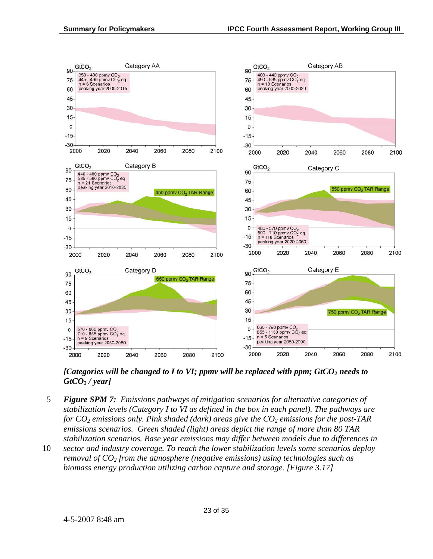

*[Categories will be changed to I to VI; ppmv will be replaced with ppm; GtCO2 needs to GtCO2 / year]* 

- *Figure SPM 7: Emissions pathways of mitigation scenarios for alternative categories of stabilization levels (Category I to VI as defined in the box in each panel). The pathways are*  for CO<sub>2</sub> emissions only. Pink shaded (dark) areas give the CO<sub>2</sub> emissions for the post-TAR 5 *emissions scenarios. Green shaded (light) areas depict the range of more than 80 TAR stabilization scenarios. Base year emissions may differ between models due to differences in*
- 10 *sector and industry coverage. To reach the lower stabilization levels some scenarios deploy removal of CO2 from the atmosphere (negative emissions) using technologies such as biomass energy production utilizing carbon capture and storage. [Figure 3.17]*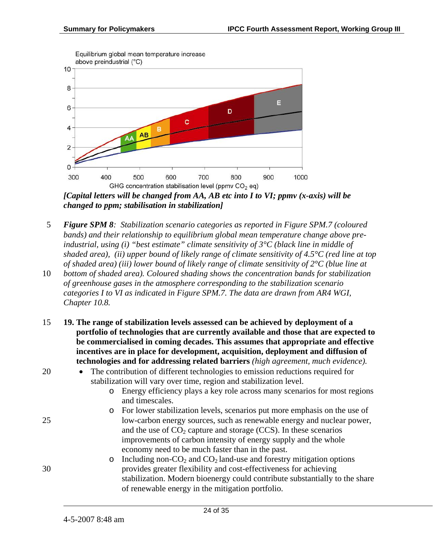Equilibrium global mean temperature increase above preindustrial (°C)



*[Capital letters will be changed from AA, AB etc into I to VI; ppmv (x-axis) will be changed to ppm; stabilisation in stabilization]*

- *Figure SPM 8: Stabilization scenario categories as reported in Figure SPM.7 (coloured bands) and their relationship to equilibrium global mean temperature change above preindustrial, using (i) "best estimate" climate sensitivity of 3°C (black line in middle of shaded area), (ii) upper bound of likely range of climate sensitivity of 4.5°C (red line at top of shaded area) (iii) lower bound of likely range of climate sensitivity of 2°C (blue line at*  5
- *bottom of shaded area). Coloured shading shows the concentration bands for stabilization of greenhouse gases in the atmosphere corresponding to the stabilization scenario categories I to VI as indicated in Figure SPM.7. The data are drawn from AR4 WGI, Chapter 10.8.*  10
- 15 **19. The range of stabilization levels assessed can be achieved by deployment of a portfolio of technologies that are currently available and those that are expected to be commercialised in coming decades. This assumes that appropriate and effective incentives are in place for development, acquisition, deployment and diffusion of technologies and for addressing related barriers** *(high agreement, much evidence).*
	- The contribution of different technologies to emission reductions required for stabilization will vary over time, region and stabilization level.
		- o Energy efficiency plays a key role across many scenarios for most regions and timescales.
		- o For lower stabilization levels, scenarios put more emphasis on the use of low-carbon energy sources, such as renewable energy and nuclear power, and the use of  $CO<sub>2</sub>$  capture and storage (CCS). In these scenarios improvements of carbon intensity of energy supply and the whole economy need to be much faster than in the past.
		- o Including non- $CO_2$  and  $CO_2$  land-use and forestry mitigation options provides greater flexibility and cost-effectiveness for achieving stabilization. Modern bioenergy could contribute substantially to the share of renewable energy in the mitigation portfolio.

20

25

30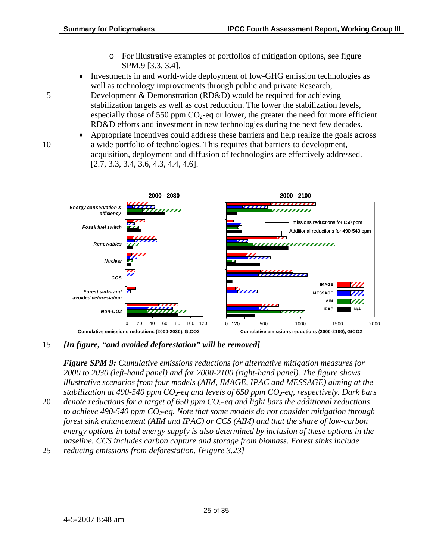o For illustrative examples of portfolios of mitigation options, see figure SPM.9 [3.3, 3.4].

• Investments in and world-wide deployment of low-GHG emission technologies as well as technology improvements through public and private Research, Development & Demonstration (RD&D) would be required for achieving stabilization targets as well as cost reduction. The lower the stabilization levels, especially those of 550 ppm  $CO<sub>2</sub>$ -eq or lower, the greater the need for more efficient RD&D efforts and investment in new technologies during the next few decades.

• Appropriate incentives could address these barriers and help realize the goals across a wide portfolio of technologies. This requires that barriers to development, acquisition, deployment and diffusion of technologies are effectively addressed. [2.7, 3.3, 3.4, 3.6, 4.3, 4.4, 4.6].



# 15 *[In figure, "and avoided deforestation" will be removed]*

*Figure SPM 9: Cumulative emissions reductions for alternative mitigation measures for 2000 to 2030 (left-hand panel) and for 2000-2100 (right-hand panel). The figure shows illustrative scenarios from four models (AIM, IMAGE, IPAC and MESSAGE) aiming at the stabilization at 490-540 ppm*  $CO_2$ *-eq and levels of 650 ppm*  $CO_2$ *-eq, respectively. Dark bars* 

20 *denote reductions for a target of 650 ppm CO2-eq and light bars the additional reductions*  to achieve 490-540 ppm CO<sub>2</sub>-eq. Note that some models do not consider mitigation through *forest sink enhancement (AIM and IPAC) or CCS (AIM) and that the share of low-carbon energy options in total energy supply is also determined by inclusion of these options in the baseline. CCS includes carbon capture and storage from biomass. Forest sinks include* 

```
25 
reducing emissions from deforestation. [Figure 3.23]
```
10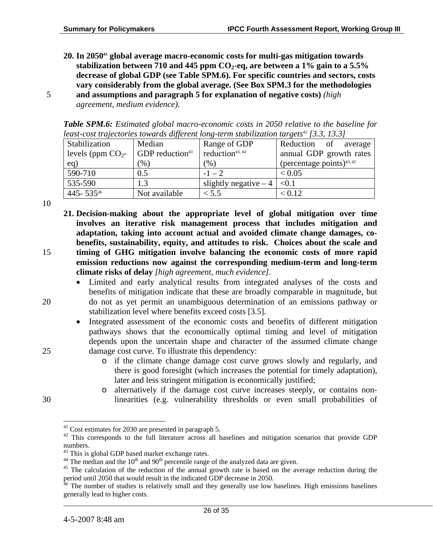**20. In 205041 global average macro-economic costs for multi-gas mitigation towards**  stabilization between 710 and 445 ppm CO<sub>2</sub>-eq, are between a 1% gain to a 5.5% **decrease of global GDP (see Table SPM.6). For specific countries and sectors, costs vary considerably from the global average. (See Box SPM.3 for the methodologies and assumptions and paragraph 5 for explanation of negative costs)** *(high* 

*agreement, medium evidence)*.

*Table SPM.6: Estimated global macro-economic costs in 2050 relative to the baseline for least-cost trajectories towards different long-term stabilization targets42 [3.3, 13.3]* 

| Stabilization       | Median             | Range of GDP                    | Reduction of average         |
|---------------------|--------------------|---------------------------------|------------------------------|
| levels (ppm $CO2$ - | GDP reduction $43$ | reduction <sup>43, 44</sup>     | annual GDP growth rates      |
| eq)                 | $(\% )$            | $(\% )$                         | (percentage points) $43, 45$ |
| 590-710             | 0.5                | $-1-2$                          | ${}< 0.05$                   |
| 535-590             | 1.3                | slightly negative $-4$ $ $ <0.1 |                              |
| $445 - 535^{46}$    | Not available      | < 5.5                           | < 0.12                       |

10

15

20

25

30

5

**21. Decision-making about the appropriate level of global mitigation over time involves an iterative risk management process that includes mitigation and adaptation, taking into account actual and avoided climate change damages, cobenefits, sustainability, equity, and attitudes to risk. Choices about the scale and timing of GHG mitigation involve balancing the economic costs of more rapid emission reductions now against the corresponding medium-term and long-term climate risks of delay** *[high agreement, much evidence].*

- Limited and early analytical results from integrated analyses of the costs and benefits of mitigation indicate that these are broadly comparable in magnitude, but do not as yet permit an unambiguous determination of an emissions pathway or stabilization level where benefits exceed costs [3.5].
- Integrated assessment of the economic costs and benefits of different mitigation pathways shows that the economically optimal timing and level of mitigation depends upon the uncertain shape and character of the assumed climate change damage cost curve. To illustrate this dependency:
	- o if the climate change damage cost curve grows slowly and regularly, and there is good foresight (which increases the potential for timely adaptation), later and less stringent mitigation is economically justified;
	- o alternatively if the damage cost curve increases steeply, or contains nonlinearities (e.g. vulnerability thresholds or even small probabilities of

 $\overline{a}$ 

<sup>&</sup>lt;sup>41</sup> Cost estimates for 2030 are presented in paragraph 5.<br><sup>42</sup> This corresponds to the full literature across all baselines and mitigation scenarios that provide GDP numbers.<br><sup>43</sup> This is global GDP based market exchange rates.<br><sup>44</sup> The median and the 10<sup>th</sup> and 90<sup>th</sup> percentile range of the analyzed data are given.<br><sup>45</sup> The calculation of the reduction of the annual growth rate is b

period until 2050 that would result in the indicated GDP decrease in 2050.<br><sup>46</sup> The number of studies is relatively small and they generally use low baselines. High emissions baselines

generally lead to higher costs.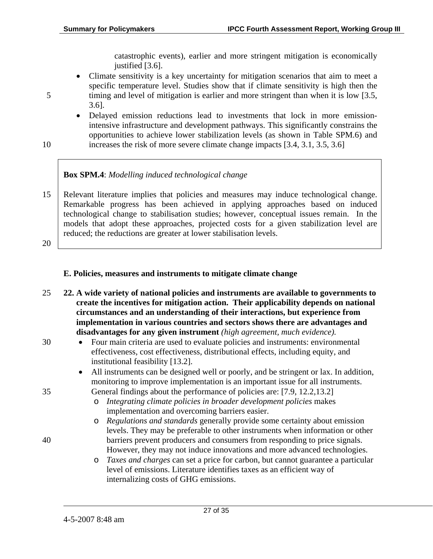catastrophic events), earlier and more stringent mitigation is economically justified [3.6].

- Climate sensitivity is a key uncertainty for mitigation scenarios that aim to meet a specific temperature level. Studies show that if climate sensitivity is high then the timing and level of mitigation is earlier and more stringent than when it is low [3.5, 3.6].
- Delayed emission reductions lead to investments that lock in more emissionintensive infrastructure and development pathways. This significantly constrains the opportunities to achieve lower stabilization levels (as shown in Table SPM.6) and
- increases the risk of more severe climate change impacts [3.4, 3.1, 3.5, 3.6]

# **Box SPM.4**: *Modelling induced technological change*

15 Relevant literature implies that policies and measures may induce technological change. Remarkable progress has been achieved in applying approaches based on induced technological change to stabilisation studies; however, conceptual issues remain. In the models that adopt these approaches, projected costs for a given stabilization level are reduced; the reductions are greater at lower stabilisation levels.

20

35

40

5

10

# **E. Policies, measures and instruments to mitigate climate change**

- 25 **22. A wide variety of national policies and instruments are available to governments to create the incentives for mitigation action. Their applicability depends on national circumstances and an understanding of their interactions, but experience from implementation in various countries and sectors shows there are advantages and disadvantages for any given instrument** *(high agreement, much evidence).*
- 30 • Four main criteria are used to evaluate policies and instruments: environmental effectiveness, cost effectiveness, distributional effects, including equity, and institutional feasibility [13.2].
	- All instruments can be designed well or poorly, and be stringent or lax. In addition, monitoring to improve implementation is an important issue for all instruments. General findings about the performance of policies are: [7.9, 12.2,13.2]
		- o *Integrating climate policies in broader development policies* makes implementation and overcoming barriers easier.
		- o *Regulations and standards* generally provide some certainty about emission levels. They may be preferable to other instruments when information or other barriers prevent producers and consumers from responding to price signals. However, they may not induce innovations and more advanced technologies.
		- o *Taxes and charges* can set a price for carbon, but cannot guarantee a particular level of emissions. Literature identifies taxes as an efficient way of internalizing costs of GHG emissions.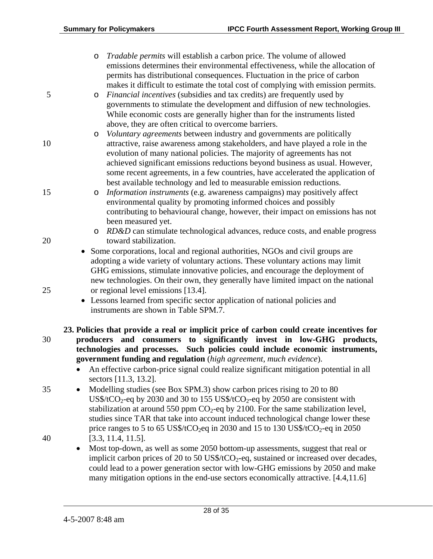10

20

25

40

- o *Tradable permits* will establish a carbon price. The volume of allowed emissions determines their environmental effectiveness, while the allocation of permits has distributional consequences. Fluctuation in the price of carbon makes it difficult to estimate the total cost of complying with emission permits.
- o *Financial incentives* (subsidies and tax credits) are frequently used by governments to stimulate the development and diffusion of new technologies. While economic costs are generally higher than for the instruments listed above, they are often critical to overcome barriers.
- o *Voluntary agreements* between industry and governments are politically attractive, raise awareness among stakeholders, and have played a role in the evolution of many national policies. The majority of agreements has not achieved significant emissions reductions beyond business as usual. However, some recent agreements, in a few countries, have accelerated the application of best available technology and led to measurable emission reductions.
- 15 o *Information instruments* (e.g. awareness campaigns) may positively affect environmental quality by promoting informed choices and possibly contributing to behavioural change, however, their impact on emissions has not been measured yet.
	- o *RD&D* can stimulate technological advances, reduce costs, and enable progress toward stabilization.
	- Some corporations, local and regional authorities, NGOs and civil groups are adopting a wide variety of voluntary actions. These voluntary actions may limit GHG emissions, stimulate innovative policies, and encourage the deployment of new technologies. On their own, they generally have limited impact on the national or regional level emissions [13.4].
	- Lessons learned from specific sector application of national policies and instruments are shown in Table SPM.7.
- 30 **23. Policies that provide a real or implicit price of carbon could create incentives for producers and consumers to significantly invest in low-GHG products, technologies and processes. Such policies could include economic instruments, government funding and regulation** (*high agreement, much evidence*).
	- An effective carbon-price signal could realize significant mitigation potential in all sectors [11.3, 13.2].
- 35 • Modelling studies (see Box SPM.3) show carbon prices rising to 20 to 80 US\$/tCO<sub>2</sub>-eq by 2030 and 30 to 155 US\$/tCO<sub>2</sub>-eq by 2050 are consistent with stabilization at around 550 ppm  $CO_2$ -eq by 2100. For the same stabilization level, studies since TAR that take into account induced technological change lower these price ranges to 5 to 65 US\$/tCO<sub>2</sub>eq in 2030 and 15 to 130 US\$/tCO<sub>2</sub>-eq in 2050 [3.3, 11.4, 11.5].
	- Most top-down, as well as some 2050 bottom-up assessments, suggest that real or implicit carbon prices of 20 to 50 US\$/ $tCO_2$ -eq, sustained or increased over decades, could lead to a power generation sector with low-GHG emissions by 2050 and make many mitigation options in the end-use sectors economically attractive. [4.4,11.6]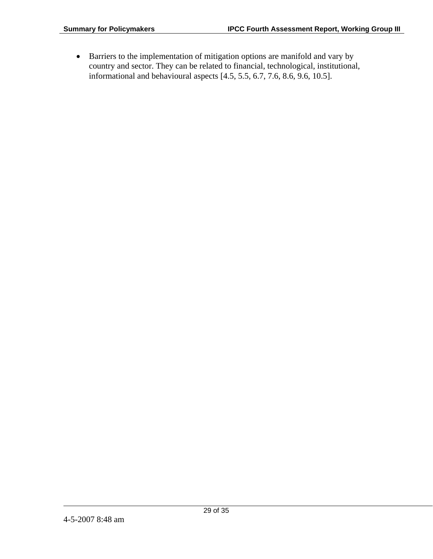• Barriers to the implementation of mitigation options are manifold and vary by country and sector. They can be related to financial, technological, institutional, informational and behavioural aspects [4.5, 5.5, 6.7, 7.6, 8.6, 9.6, 10.5].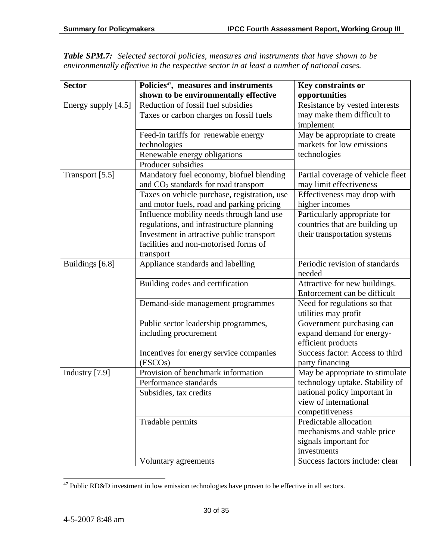| <b>Table SPM.7:</b> Selected sectoral policies, measures and instruments that have shown to be |  |  |  |  |
|------------------------------------------------------------------------------------------------|--|--|--|--|
| environmentally effective in the respective sector in at least a number of national cases.     |  |  |  |  |

| <b>Sector</b>       | Policies <sup>47</sup> , measures and instruments | <b>Key constraints or</b><br>opportunities |  |  |
|---------------------|---------------------------------------------------|--------------------------------------------|--|--|
|                     | shown to be environmentally effective             |                                            |  |  |
| Energy supply [4.5] | Reduction of fossil fuel subsidies                | Resistance by vested interests             |  |  |
|                     | Taxes or carbon charges on fossil fuels           | may make them difficult to                 |  |  |
|                     |                                                   | implement                                  |  |  |
|                     | Feed-in tariffs for renewable energy              | May be appropriate to create               |  |  |
|                     | technologies                                      | markets for low emissions                  |  |  |
|                     | Renewable energy obligations                      | technologies                               |  |  |
|                     | Producer subsidies                                |                                            |  |  |
| Transport [5.5]     | Mandatory fuel economy, biofuel blending          | Partial coverage of vehicle fleet          |  |  |
|                     | and CO <sub>2</sub> standards for road transport  | may limit effectiveness                    |  |  |
|                     | Taxes on vehicle purchase, registration, use      | Effectiveness may drop with                |  |  |
|                     | and motor fuels, road and parking pricing         | higher incomes                             |  |  |
|                     | Influence mobility needs through land use         | Particularly appropriate for               |  |  |
|                     | regulations, and infrastructure planning          | countries that are building up             |  |  |
|                     | Investment in attractive public transport         | their transportation systems               |  |  |
|                     | facilities and non-motorised forms of             |                                            |  |  |
|                     | transport                                         |                                            |  |  |
| Buildings [6.8]     | Appliance standards and labelling                 | Periodic revision of standards             |  |  |
|                     |                                                   | needed                                     |  |  |
|                     | Building codes and certification                  | Attractive for new buildings.              |  |  |
|                     |                                                   | Enforcement can be difficult               |  |  |
|                     | Demand-side management programmes                 | Need for regulations so that               |  |  |
|                     |                                                   | utilities may profit                       |  |  |
|                     | Public sector leadership programmes,              | Government purchasing can                  |  |  |
|                     | including procurement                             | expand demand for energy-                  |  |  |
|                     |                                                   | efficient products                         |  |  |
|                     | Incentives for energy service companies           | Success factor: Access to third            |  |  |
|                     | (ESCO <sub>s</sub> )                              | party financing                            |  |  |
| Industry [7.9]      | Provision of benchmark information                | May be appropriate to stimulate            |  |  |
|                     | Performance standards                             | technology uptake. Stability of            |  |  |
|                     | Subsidies, tax credits                            | national policy important in               |  |  |
|                     |                                                   | view of international                      |  |  |
|                     |                                                   | competitiveness                            |  |  |
|                     | Tradable permits                                  | Predictable allocation                     |  |  |
|                     |                                                   | mechanisms and stable price                |  |  |
|                     |                                                   | signals important for                      |  |  |
|                     |                                                   | investments                                |  |  |
|                     | Voluntary agreements                              | Success factors include: clear             |  |  |

 $47$  Public RD&D investment in low emission technologies have proven to be effective in all sectors.

 $\overline{a}$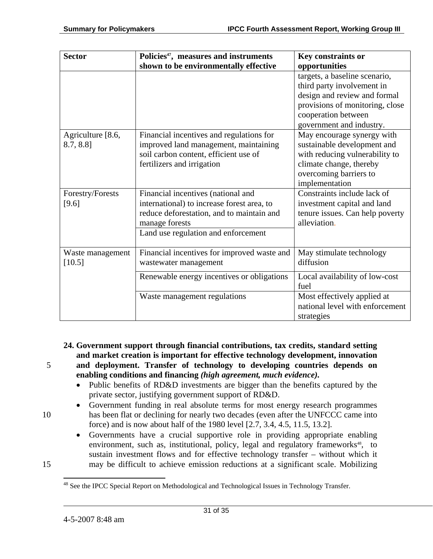| <b>Sector</b>                  | Policies <sup>47</sup> , measures and instruments                                                                                                                                      | Key constraints or                                                                                                                                                                |
|--------------------------------|----------------------------------------------------------------------------------------------------------------------------------------------------------------------------------------|-----------------------------------------------------------------------------------------------------------------------------------------------------------------------------------|
|                                | shown to be environmentally effective                                                                                                                                                  | opportunities                                                                                                                                                                     |
|                                |                                                                                                                                                                                        | targets, a baseline scenario,<br>third party involvement in<br>design and review and formal<br>provisions of monitoring, close<br>cooperation between<br>government and industry. |
| Agriculture [8.6,<br>8.7, 8.8] | Financial incentives and regulations for<br>improved land management, maintaining<br>soil carbon content, efficient use of<br>fertilizers and irrigation                               | May encourage synergy with<br>sustainable development and<br>with reducing vulnerability to<br>climate change, thereby<br>overcoming barriers to<br>implementation                |
| Forestry/Forests<br>[9.6]      | Financial incentives (national and<br>international) to increase forest area, to<br>reduce deforestation, and to maintain and<br>manage forests<br>Land use regulation and enforcement | Constraints include lack of<br>investment capital and land<br>tenure issues. Can help poverty<br>alleviation.                                                                     |
| Waste management<br>[10.5]     | Financial incentives for improved waste and<br>wastewater management                                                                                                                   | May stimulate technology<br>diffusion                                                                                                                                             |
|                                | Renewable energy incentives or obligations                                                                                                                                             | Local availability of low-cost<br>fuel                                                                                                                                            |
|                                | Waste management regulations                                                                                                                                                           | Most effectively applied at<br>national level with enforcement<br>strategies                                                                                                      |

**24. Government support through financial contributions, tax credits, standard setting and market creation is important for effective technology development, innovation and deployment. Transfer of technology to developing countries depends on enabling conditions and financing** *(high agreement, much evidence).* 

- Public benefits of RD&D investments are bigger than the benefits captured by the private sector, justifying government support of RD&D.
- Government funding in real absolute terms for most energy research programmes has been flat or declining for nearly two decades (even after the UNFCCC came into force) and is now about half of the 1980 level [2.7, 3.4, 4.5, 11.5, 13.2].
	- Governments have a crucial supportive role in providing appropriate enabling environment, such as, institutional, policy, legal and regulatory frameworks $48$ , to sustain investment flows and for effective technology transfer – without which it may be difficult to achieve emission reductions at a significant scale. Mobilizing

15

10

 $\overline{a}$ <sup>48</sup> See the IPCC Special Report on Methodological and Technological Issues in Technology Transfer.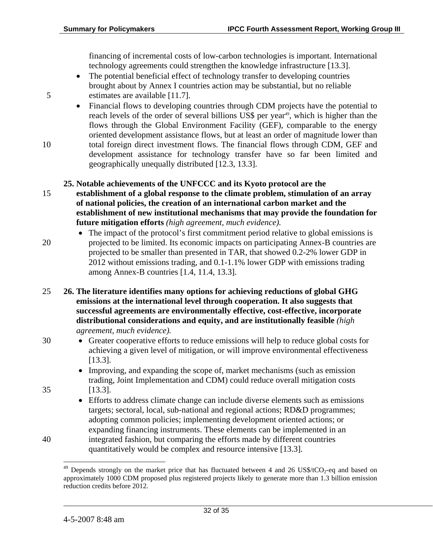financing of incremental costs of low-carbon technologies is important. International technology agreements could strengthen the knowledge infrastructure [13.3].

- The potential beneficial effect of technology transfer to developing countries brought about by Annex I countries action may be substantial, but no reliable estimates are available [11.7].
- Financial flows to developing countries through CDM projects have the potential to reach levels of the order of several billions US\$ per year<sup>49</sup>, which is higher than the flows through the Global Environment Facility (GEF), comparable to the energy oriented development assistance flows, but at least an order of magnitude lower than total foreign direct investment flows. The financial flows through CDM, GEF and development assistance for technology transfer have so far been limited and

geographically unequally distributed [12.3, 13.3].

# **25. Notable achievements of the UNFCCC and its Kyoto protocol are the**

- 15 **establishment of a global response to the climate problem, stimulation of an array of national policies, the creation of an international carbon market and the establishment of new institutional mechanisms that may provide the foundation for future mitigation efforts** *(high agreement, much evidence).* 
	- The impact of the protocol's first commitment period relative to global emissions is projected to be limited. Its economic impacts on participating Annex-B countries are projected to be smaller than presented in TAR, that showed 0.2-2% lower GDP in 2012 without emissions trading, and 0.1-1.1% lower GDP with emissions trading among Annex-B countries [1.4, 11.4, 13.3].
- 25 **26. The literature identifies many options for achieving reductions of global GHG emissions at the international level through cooperation. It also suggests that successful agreements are environmentally effective, cost-effective, incorporate distributional considerations and equity, and are institutionally feasible** *(high agreement, much evidence).*
- 30 • Greater cooperative efforts to reduce emissions will help to reduce global costs for achieving a given level of mitigation, or will improve environmental effectiveness [13.3].
	- Improving, and expanding the scope of, market mechanisms (such as emission trading, Joint Implementation and CDM) could reduce overall mitigation costs [13.3].
	- Efforts to address climate change can include diverse elements such as emissions targets; sectoral, local, sub-national and regional actions; RD&D programmes; adopting common policies; implementing development oriented actions; or expanding financing instruments. These elements can be implemented in an integrated fashion, but comparing the efforts made by different countries quantitatively would be complex and resource intensive [13.3].

35

5

10

20

40

 $\overline{a}$  $49$  Depends strongly on the market price that has fluctuated between 4 and 26 US\$/tCO<sub>2</sub>-eq and based on approximately 1000 CDM proposed plus registered projects likely to generate more than 1.3 billion emission reduction credits before 2012.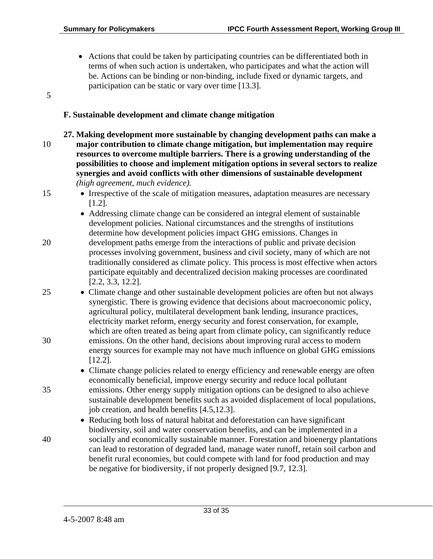- Actions that could be taken by participating countries can be differentiated both in terms of when such action is undertaken, who participates and what the action will be. Actions can be binding or non-binding, include fixed or dynamic targets, and participation can be static or vary over time [13.3].
- 5

35

40

### **F. Sustainable development and climate change mitigation**

- 10 **27. Making development more sustainable by changing development paths can make a major contribution to climate change mitigation, but implementation may require resources to overcome multiple barriers. There is a growing understanding of the possibilities to choose and implement mitigation options in several sectors to realize synergies and avoid conflicts with other dimensions of sustainable development**  *(high agreement, much evidence).* 
	- Irrespective of the scale of mitigation measures, adaptation measures are necessary [1.2].
		- Addressing climate change can be considered an integral element of sustainable development policies. National circumstances and the strengths of institutions determine how development policies impact GHG emissions. Changes in
- 20 development paths emerge from the interactions of public and private decision processes involving government, business and civil society, many of which are not traditionally considered as climate policy. This process is most effective when actors participate equitably and decentralized decision making processes are coordinated [2.2, 3.3, 12.2].
- 25 30 • Climate change and other sustainable development policies are often but not always synergistic. There is growing evidence that decisions about macroeconomic policy, agricultural policy, multilateral development bank lending, insurance practices, electricity market reform, energy security and forest conservation, for example, which are often treated as being apart from climate policy, can significantly reduce emissions. On the other hand, decisions about improving rural access to modern energy sources for example may not have much influence on global GHG emissions [12.2].
	- Climate change policies related to energy efficiency and renewable energy are often economically beneficial, improve energy security and reduce local pollutant
	- emissions. Other energy supply mitigation options can be designed to also achieve sustainable development benefits such as avoided displacement of local populations, job creation, and health benefits [4.5,12.3].
		- Reducing both loss of natural habitat and deforestation can have significant biodiversity, soil and water conservation benefits, and can be implemented in a socially and economically sustainable manner. Forestation and bioenergy plantations can lead to restoration of degraded land, manage water runoff, retain soil carbon and benefit rural economies, but could compete with land for food production and may be negative for biodiversity, if not properly designed [9.7, 12.3].
	- 4-5-2007 8:48 am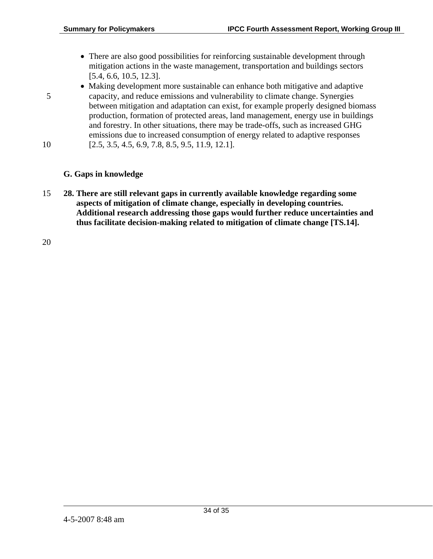- There are also good possibilities for reinforcing sustainable development through mitigation actions in the waste management, transportation and buildings sectors [5.4, 6.6, 10.5, 12.3].
- Making development more sustainable can enhance both mitigative and adaptive capacity, and reduce emissions and vulnerability to climate change. Synergies between mitigation and adaptation can exist, for example properly designed biomass production, formation of protected areas, land management, energy use in buildings and forestry. In other situations, there may be trade-offs, such as increased GHG emissions due to increased consumption of energy related to adaptive responses
- 10 [2.5, 3.5, 4.5, 6.9, 7.8, 8.5, 9.5, 11.9, 12.1].

#### **G. Gaps in knowledge**

15 **28. There are still relevant gaps in currently available knowledge regarding some aspects of mitigation of climate change, especially in developing countries. Additional research addressing those gaps would further reduce uncertainties and thus facilitate decision-making related to mitigation of climate change [TS.14].** 

20

5